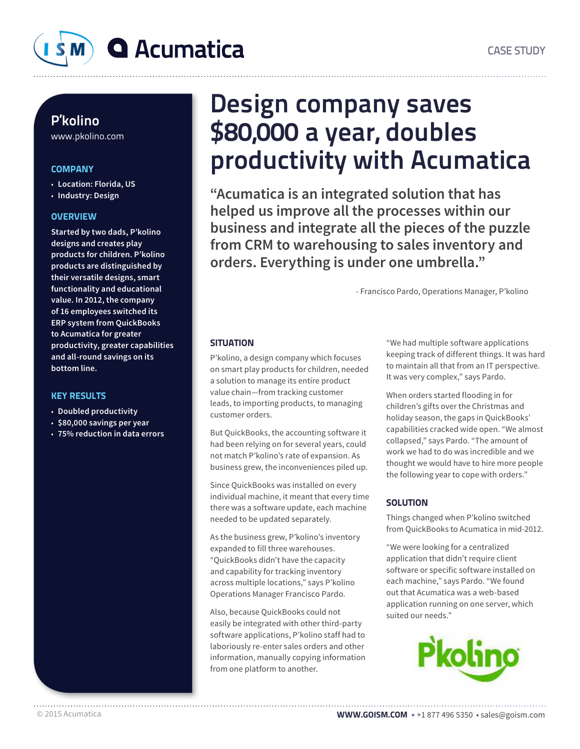

### P'kolino

www.pkolino.com

### **COMPANY**

- **Location: Florida, US**
- **Industry: Design**

### **OVERVIEW**

**Started by two dads, P'kolino designs and creates play products for children. P'kolino products are distinguished by their versatile designs, smart functionality and educational value. In 2012, the company of 16 employees switched its ERP system from QuickBooks to Acumatica for greater productivity, greater capabilities and all-round savings on its bottom line.**

### KEY RESULTS

- **Doubled productivity**
- **\$80,000 savings per year**
- **75% reduction in data errors**

## Design company saves \$80,000 a year, doubles productivity with Acumatica

**"Acumatica is an integrated solution that has helped us improve all the processes within our business and integrate all the pieces of the puzzle from CRM to warehousing to sales inventory and orders. Everything is under one umbrella."**

- Francisco Pardo, Operations Manager, P'kolino

### **SITUATION**

P'kolino, a design company which focuses on smart play products for children, needed a solution to manage its entire product value chain—from tracking customer leads, to importing products, to managing customer orders.

But QuickBooks, the accounting software it had been relying on for several years, could not match P'kolino's rate of expansion. As business grew, the inconveniences piled up.

Since QuickBooks was installed on every individual machine, it meant that every time there was a software update, each machine needed to be updated separately.

As the business grew, P'kolino's inventory expanded to fill three warehouses. "QuickBooks didn't have the capacity and capability for tracking inventory across multiple locations," says P'kolino Operations Manager Francisco Pardo.

Also, because QuickBooks could not easily be integrated with other third-party software applications, P'kolino staff had to laboriously re-enter sales orders and other information, manually copying information from one platform to another.

"We had multiple software applications keeping track of different things. It was hard to maintain all that from an IT perspective. It was very complex," says Pardo.

When orders started flooding in for children's gifts over the Christmas and holiday season, the gaps in QuickBooks' capabilities cracked wide open. "We almost collapsed," says Pardo. "The amount of work we had to do was incredible and we thought we would have to hire more people the following year to cope with orders."

### **SOLUTION**

Things changed when P'kolino switched from QuickBooks to Acumatica in mid-2012.

"We were looking for a centralized application that didn't require client software or specific software installed on each machine," says Pardo. "We found out that Acumatica was a web-based application running on one server, which suited our needs."